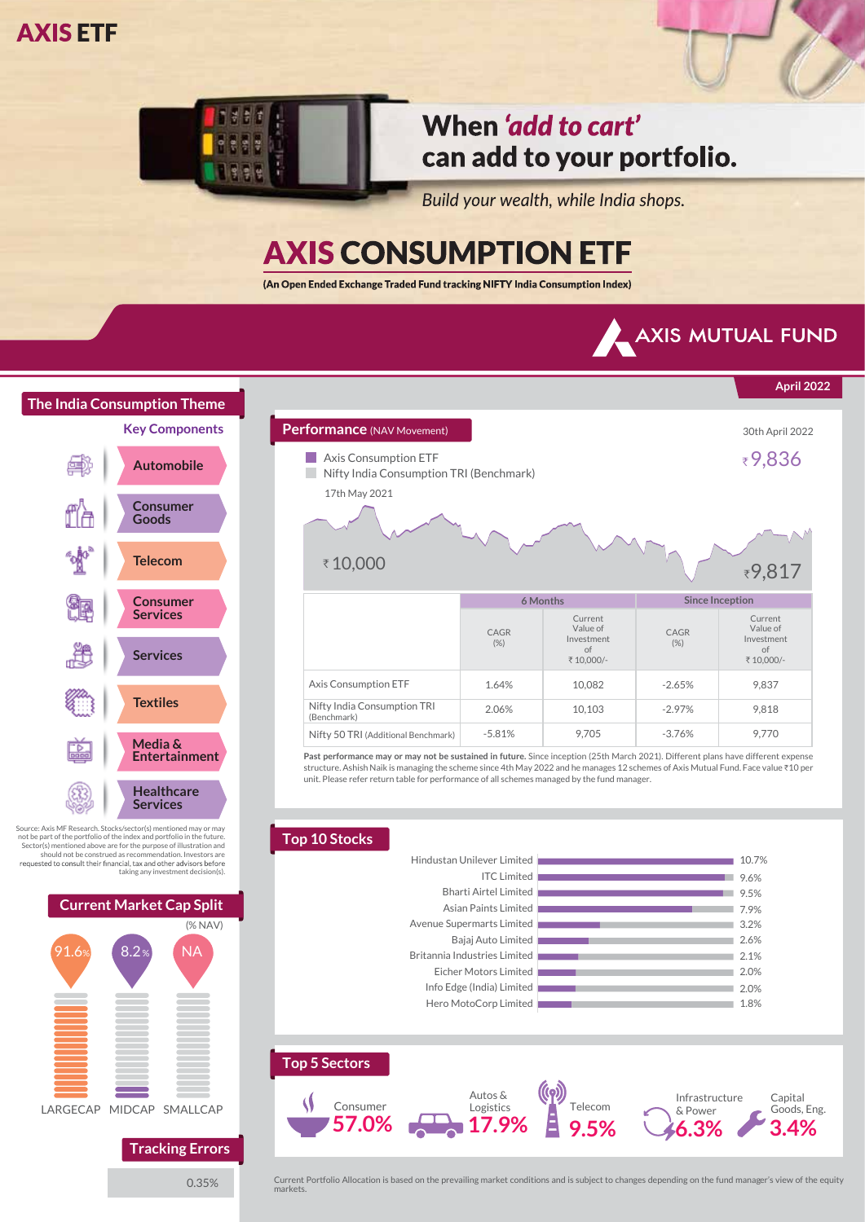

## When 'add to cart' can add to your portfolio.

Build your wealth, while India shops.

**Performance** (NAV Movement) **30th April 2022** 

# **AXIS CONSUMPTION ETF**

(An Open Ended Exchange Traded Fund tracking NIFTY India Consumption Index)



**April 2022**

Current Value of

9,837 9,818 9,770



Source: Axis MF Research. Stocks/sector(s) mentioned may or may not be part of the portfolio of the index and portfolio in the future. Sector(s) mentioned above are for the purpose of illustration and should not be construed as recommendation. Investors are taking any investment decision(s).



0.35%

**Past performance may or may not be sustained in future.** Since inception (25th March 2021). Different plans have different expense **6 Months Since Inception** CAGR (%) Current Value of Investment of ₹ 10,000/ CAGR  $(%)$ Investment of<br>÷ 10,000/-10,082 10,103 9,705 1.64% 2.06% -5.81% -2.65% -2.97% -3.76% Axis Consumption ETF Nifty India Consumption TRI (Benchmark) Nifty 50 TRI (Additional Benchmark) ■ Axis Consumption ETF  $\epsilon$  Nifty India Consumption TRI (Benchmark) `9,817 17th May 2021 ₹10,000

structure. Ashish Naik is managing the scheme since 4th May 2022 and he manages 12 schemes of Axis Mutual Fund. Face value ₹10 per unit. Please refer return table for performance of all schemes managed by the fund manager.

#### **Top 10 Stocks** 1.8% 2.0% 2.0% 2.1% 2.6% 3.2% 7.9% 9.5% 9.6% 10.7% Hero MotoCorp Limited Info Edge (India) Limited Eicher Motors Limited Britannia Industries Limited Bajaj Auto Limited Avenue Supermarts Limited Asian Paints Limited Bharti Airtel Limited ITC Limited Hindustan Unilever Limited



Current Portfolio Allocation is based on the prevailing market conditions and is subject to changes depending on the fund manager's view of the equity markets.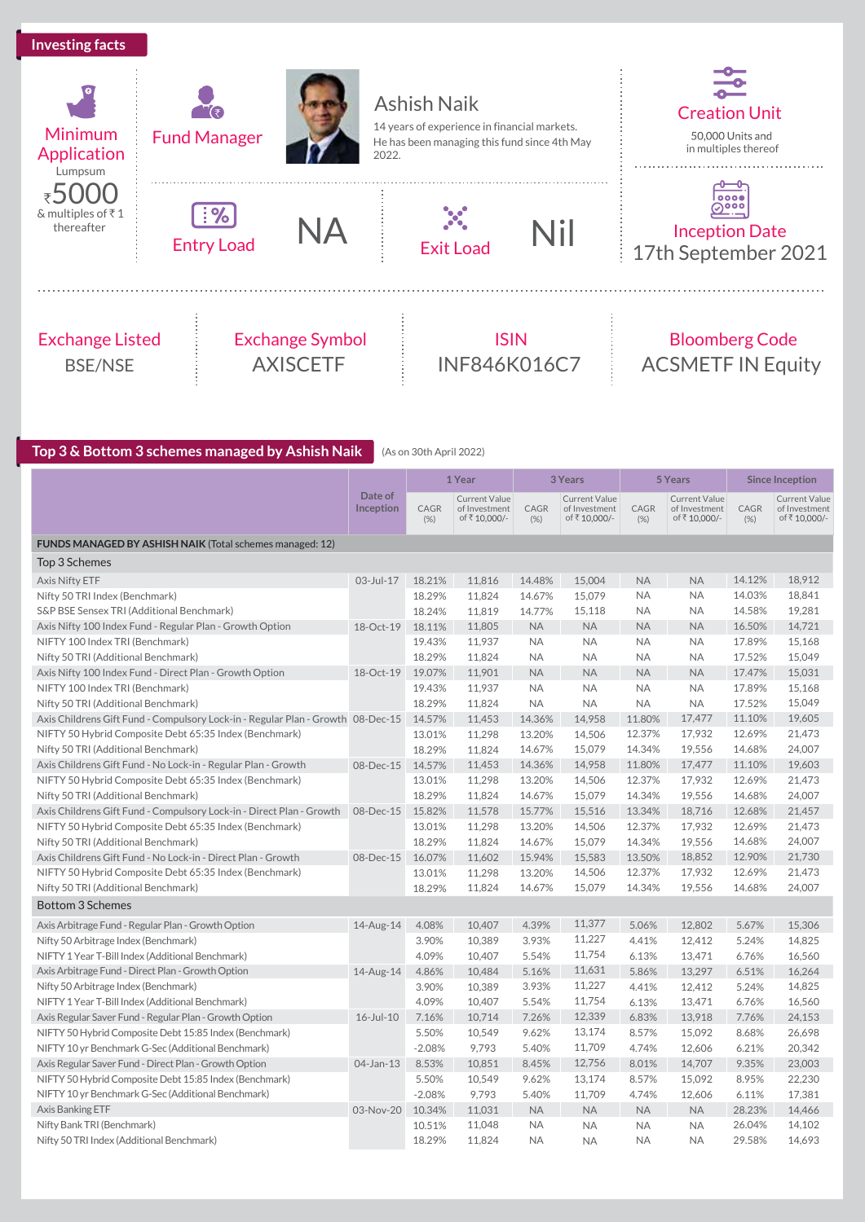### **Investing facts**





Entry Load



2022.



Ashish Naik 14 years of experience in financial markets. He has been managing this fund since 4th May





<u>ြ၀၀၀</u><br>တပ္မတ Inception Date

Creation Unit

in multiples thereof

᠊<del>᠐᠆᠐</del>

50,000 Units and

17th September 2021

### Exchange Listed BSE/NSE







### **Top 3 & Bottom 3 schemes managed by Ashish Naik** (As on 30th April 2022)

|                                                                                 |                      |              | 1 Year                                         |              | 3 Years                                        |              | 5 Years                                       |              | <b>Since Inception</b>                               |
|---------------------------------------------------------------------------------|----------------------|--------------|------------------------------------------------|--------------|------------------------------------------------|--------------|-----------------------------------------------|--------------|------------------------------------------------------|
|                                                                                 | Date of<br>Inception | CAGR<br>(% ) | Current Value<br>of Investment<br>of ₹10,000/- | CAGR<br>(% ) | Current Value<br>of Investment<br>of ₹10,000/- | CAGR<br>(% ) | Current Value<br>of Investment<br>of₹10,000/- | CAGR<br>(% ) | <b>Current Value</b><br>of Investment<br>of₹10,000/- |
| FUNDS MANAGED BY ASHISH NAIK (Total schemes managed: 12)                        |                      |              |                                                |              |                                                |              |                                               |              |                                                      |
| Top 3 Schemes                                                                   |                      |              |                                                |              |                                                |              |                                               |              |                                                      |
| Axis Nifty ETF                                                                  | 03-Jul-17            | 18.21%       | 11.816                                         | 14.48%       | 15,004                                         | <b>NA</b>    | <b>NA</b>                                     | 14.12%       | 18,912                                               |
| Nifty 50 TRI Index (Benchmark)                                                  |                      | 18.29%       | 11,824                                         | 14.67%       | 15,079                                         | <b>NA</b>    | <b>NA</b>                                     | 14.03%       | 18,841                                               |
| S&P BSE Sensex TRI (Additional Benchmark)                                       |                      | 18.24%       | 11,819                                         | 14.77%       | 15,118                                         | <b>NA</b>    | <b>NA</b>                                     | 14.58%       | 19,281                                               |
| Axis Nifty 100 Index Fund - Regular Plan - Growth Option                        | 18-Oct-19            | 18.11%       | 11,805                                         | <b>NA</b>    | <b>NA</b>                                      | <b>NA</b>    | <b>NA</b>                                     | 16.50%       | 14,721                                               |
| NIFTY 100 Index TRI (Benchmark)                                                 |                      | 19.43%       | 11,937                                         | <b>NA</b>    | <b>NA</b>                                      | <b>NA</b>    | <b>NA</b>                                     | 17.89%       | 15,168                                               |
| Nifty 50 TRI (Additional Benchmark)                                             |                      | 18.29%       | 11,824                                         | <b>NA</b>    | <b>NA</b>                                      | <b>NA</b>    | <b>NA</b>                                     | 17.52%       | 15,049                                               |
| Axis Nifty 100 Index Fund - Direct Plan - Growth Option                         | 18-Oct-19            | 19.07%       | 11,901                                         | <b>NA</b>    | <b>NA</b>                                      | <b>NA</b>    | <b>NA</b>                                     | 17.47%       | 15,031                                               |
| NIFTY 100 Index TRI (Benchmark)                                                 |                      | 19.43%       | 11,937                                         | <b>NA</b>    | <b>NA</b>                                      | <b>NA</b>    | <b>NA</b>                                     | 17.89%       | 15,168                                               |
| Nifty 50 TRI (Additional Benchmark)                                             |                      | 18.29%       | 11,824                                         | <b>NA</b>    | <b>NA</b>                                      | <b>NA</b>    | <b>NA</b>                                     | 17.52%       | 15,049                                               |
| Axis Childrens Gift Fund - Compulsory Lock-in - Regular Plan - Growth 08-Dec-15 |                      | 14.57%       | 11,453                                         | 14.36%       | 14,958                                         | 11.80%       | 17,477                                        | 11.10%       | 19,605                                               |
| NIFTY 50 Hybrid Composite Debt 65:35 Index (Benchmark)                          |                      | 13.01%       | 11,298                                         | 13.20%       | 14,506                                         | 12.37%       | 17,932                                        | 12.69%       | 21,473                                               |
| Nifty 50 TRI (Additional Benchmark)                                             |                      | 18.29%       | 11,824                                         | 14.67%       | 15,079                                         | 14.34%       | 19,556                                        | 14.68%       | 24,007                                               |
| Axis Childrens Gift Fund - No Lock-in - Regular Plan - Growth                   | 08-Dec-15            | 14.57%       | 11,453                                         | 14.36%       | 14,958                                         | 11.80%       | 17,477                                        | 11.10%       | 19,603                                               |
| NIFTY 50 Hybrid Composite Debt 65:35 Index (Benchmark)                          |                      | 13.01%       | 11,298                                         | 13.20%       | 14,506                                         | 12.37%       | 17,932                                        | 12.69%       | 21,473                                               |
| Nifty 50 TRI (Additional Benchmark)                                             |                      | 18.29%       | 11,824                                         | 14.67%       | 15,079                                         | 14.34%       | 19,556                                        | 14.68%       | 24,007                                               |
| Axis Childrens Gift Fund - Compulsory Lock-in - Direct Plan - Growth            | 08-Dec-15            | 15.82%       | 11,578                                         | 15.77%       | 15,516                                         | 13.34%       | 18,716                                        | 12.68%       | 21,457                                               |
| NIFTY 50 Hybrid Composite Debt 65:35 Index (Benchmark)                          |                      | 13.01%       | 11,298                                         | 13.20%       | 14,506                                         | 12.37%       | 17,932                                        | 12.69%       | 21,473                                               |
| Nifty 50 TRI (Additional Benchmark)                                             |                      | 18.29%       | 11,824                                         | 14.67%       | 15,079                                         | 14.34%       | 19,556                                        | 14.68%       | 24,007                                               |
| Axis Childrens Gift Fund - No Lock-in - Direct Plan - Growth                    | 08-Dec-15            | 16.07%       | 11,602                                         | 15.94%       | 15,583                                         | 13.50%       | 18,852                                        | 12.90%       | 21,730                                               |
| NIFTY 50 Hybrid Composite Debt 65:35 Index (Benchmark)                          |                      | 13.01%       | 11,298                                         | 13.20%       | 14,506                                         | 12.37%       | 17,932                                        | 12.69%       | 21,473                                               |
| Nifty 50 TRI (Additional Benchmark)                                             |                      | 18.29%       | 11,824                                         | 14.67%       | 15,079                                         | 14.34%       | 19,556                                        | 14.68%       | 24,007                                               |
| <b>Bottom 3 Schemes</b>                                                         |                      |              |                                                |              |                                                |              |                                               |              |                                                      |
| Axis Arbitrage Fund - Regular Plan - Growth Option                              | 14-Aug-14            | 4.08%        | 10,407                                         | 4.39%        | 11,377                                         | 5.06%        | 12,802                                        | 5.67%        | 15,306                                               |
| Nifty 50 Arbitrage Index (Benchmark)                                            |                      | 3.90%        | 10,389                                         | 3.93%        | 11,227                                         | 4.41%        | 12,412                                        | 5.24%        | 14,825                                               |
| NIFTY 1 Year T-Bill Index (Additional Benchmark)                                |                      | 4.09%        | 10,407                                         | 5.54%        | 11,754                                         | 6.13%        | 13,471                                        | 6.76%        | 16,560                                               |
| Axis Arbitrage Fund - Direct Plan - Growth Option                               | 14-Aug-14            | 4.86%        | 10,484                                         | 5.16%        | 11,631                                         | 5.86%        | 13,297                                        | 6.51%        | 16,264                                               |
| Nifty 50 Arbitrage Index (Benchmark)                                            |                      | 3.90%        | 10,389                                         | 3.93%        | 11,227                                         | 4.41%        | 12,412                                        | 5.24%        | 14,825                                               |
| NIFTY 1 Year T-Bill Index (Additional Benchmark)                                |                      | 4.09%        | 10,407                                         | 5.54%        | 11,754                                         | 6.13%        | 13,471                                        | 6.76%        | 16,560                                               |
| Axis Regular Saver Fund - Regular Plan - Growth Option                          | $16$ -Jul- $10$      | 7.16%        | 10,714                                         | 7.26%        | 12,339                                         | 6.83%        | 13,918                                        | 7.76%        | 24,153                                               |
| NIFTY 50 Hybrid Composite Debt 15:85 Index (Benchmark)                          |                      | 5.50%        | 10,549                                         | 9.62%        | 13,174                                         | 8.57%        | 15,092                                        | 8.68%        | 26,698                                               |
| NIFTY 10 yr Benchmark G-Sec (Additional Benchmark)                              |                      | $-2.08%$     | 9,793                                          | 5.40%        | 11,709                                         | 4.74%        | 12,606                                        | 6.21%        | 20,342                                               |
| Axis Regular Saver Fund - Direct Plan - Growth Option                           | 04-Jan-13            | 8.53%        | 10,851                                         | 8.45%        | 12,756                                         | 8.01%        | 14,707                                        | 9.35%        | 23,003                                               |
| NIFTY 50 Hybrid Composite Debt 15:85 Index (Benchmark)                          |                      | 5.50%        | 10,549                                         | 9.62%        | 13,174                                         | 8.57%        | 15,092                                        | 8.95%        | 22,230                                               |
| NIFTY 10 yr Benchmark G-Sec (Additional Benchmark)                              |                      | $-2.08%$     | 9,793                                          | 5.40%        | 11,709                                         | 4.74%        | 12,606                                        | 6.11%        | 17,381                                               |
| Axis Banking ETF                                                                | 03-Nov-20            | 10.34%       | 11,031                                         | <b>NA</b>    | <b>NA</b>                                      | <b>NA</b>    | <b>NA</b>                                     | 28.23%       | 14,466                                               |
| Nifty Bank TRI (Benchmark)                                                      |                      | 10.51%       | 11,048                                         | <b>NA</b>    | <b>NA</b>                                      | <b>NA</b>    | <b>NA</b>                                     | 26.04%       | 14,102                                               |
| Nifty 50 TRI Index (Additional Benchmark)                                       |                      | 18.29%       | 11,824                                         | <b>NA</b>    | <b>NA</b>                                      | <b>NA</b>    | <b>NA</b>                                     | 29.58%       | 14,693                                               |